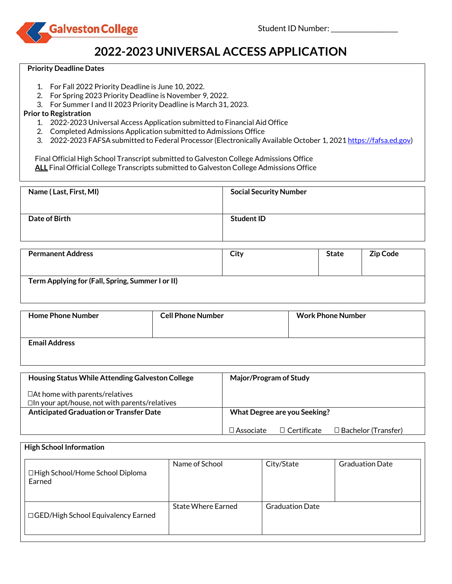



# **2022-2023 UNIVERSAL ACCESS APPLICATION**

#### **Priority Deadline Dates**

- 1. For Fall 2022 Priority Deadline is June 10, 2022.
- 2. For Spring 2023 Priority Deadline is November 9, 2022.
- 3. For Summer I and II 2023 Priority Deadline is March 31, 2023.

### **Prior to Registration**

- 1. 2022-2023 Universal Access Application submitted to Financial Aid Office
- 2. Completed Admissions Application submitted to Admissions Office
- 3. 2022-2023 FAFSA submitted to Federal Processor (Electronically Available October 1, 2021 [https://fafsa.ed.gov\)](https://fafsa.ed.gov/)

 Final Official High School Transcript submitted to Galveston College Admissions Office  **ALL** Final Official College Transcripts submitted to Galveston College Admissions Office

| Name (Last, First, MI) | <b>Social Security Number</b> |
|------------------------|-------------------------------|
| Date of Birth          | <b>Student ID</b>             |

| <b>Permanent Address</b>                         | City | <b>State</b> | <b>Zip Code</b> |
|--------------------------------------------------|------|--------------|-----------------|
| Term Applying for (Fall, Spring, Summer I or II) |      |              |                 |

| <b>Home Phone Number</b> | <b>Cell Phone Number</b> | <b>Work Phone Number</b> |
|--------------------------|--------------------------|--------------------------|
| <b>Email Address</b>     |                          |                          |

| Housing Status While Attending Galveston College                                              | Major/Program of Study                                               |  |  |
|-----------------------------------------------------------------------------------------------|----------------------------------------------------------------------|--|--|
| $\Box$ At home with parents/relatives<br>$\Box$ In your apt/house, not with parents/relatives |                                                                      |  |  |
| <b>Anticipated Graduation or Transfer Date</b>                                                | What Degree are you Seeking?                                         |  |  |
|                                                                                               | $\Box$ Bachelor (Transfer)<br>$\Box$ Associate<br>$\Box$ Certificate |  |  |

| <b>High School Information</b><br>□ High School/Home School Diploma<br>Earned | Name of School            | City/State             | <b>Graduation Date</b> |
|-------------------------------------------------------------------------------|---------------------------|------------------------|------------------------|
| □ GED/High School Equivalency Earned                                          | <b>State Where Earned</b> | <b>Graduation Date</b> |                        |